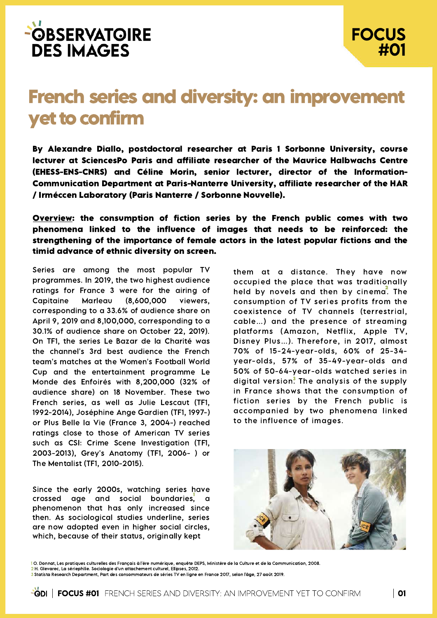

## French series and diversity: an improvement yet to confirm

By Alexandre Diallo, postdoctoral researcher at Paris 1 Sorbonne University, course lecturer at SciencesPo Paris and affiliate researcher of the Maurice Halbwachs Centre (EHESS-ENS-CNRS) and Céline Morin, senior lecturer, director of the Information-Communication Department at Paris-Nanterre University, affiliate researcher of the HAR / Irméccen Laboratory (Paris Nanterre / Sorbonne Nouvelle).

Overview: the consumption of fiction series by the French public comes with two phenomena linked to the influence of images that needs to be reinforced: the strengthening of the importance of female actors in the latest popular fictions and the timid advance of ethnic diversity on screen.

Series are among the most popular TV programmes. In 2019, the two highest audience ratings for France 3 were for the airing of Capitaine Marleau (8,600,000 viewers, corresponding to a 33.6% of audience share on April 9, 2019 and 8,100,000, corresponding to a 30.1% of audience share on October 22, 2019). On TF1, the series Le Bazar de la Charité was the channel's 3rd best audience the French team's matches at the Women's Football World Cup and the entertainment programme Le Monde des Enfoirés with 8,200,000 (32% of audience share) on 18 November. These two French series, as well as Julie Lescaut (TF1, 1992-2014), Joséphine Ange Gardien (TF1, 1997-) or Plus Belle la Vie (France 3, 2004-) reached ratings close to those of American TV series such as CSI: Crime Scene Investigation (TF1, 2003-2013), Grey's Anatomy (TF1, 2006- ) or The Mentalist (TF1, 2010-2015).

crossed age and social boundaries, a Since the early 2000s, watching series have phenomenon that has only increased since then. As sociological studies underline, series are now adopted even in higher social circles, which, because of their status, originally kept

them at a distance. They have now occupied the place that was traditionally held by novels and then by cinem $\vec{a}$ . The consumption of TV series profits from the coexistence of TV channels (terrestrial, cable…) and the presence of streaming platforms (Amazon, Netflix, Apple TV, Disney Plus…). Therefore, in 2017, almost 70% of 15-24-year-olds, 60% of 25-34 year-olds, 57% of 35-49-year-olds and 50% of 50-64-year-olds watched series in digital version<sup>3</sup>. The analysis of the supply in France shows that the consumption of fiction series by the French public is accompanied by two phenomena linked to the influence of images.



1 O. Donnat, Les pratiques culturelles des Français à l'ère numérique, enquête DEPS, Ministère de la Culture et de la Communication, 2008.

2 H. Glevarec, La sériephilie. Sociologie d'un attachement culturel, Ellipses, 2012.

<sup>3</sup> Statista Research Department, Part des consommateurs de séries TV en ligne en France 2017, selon l'âge, 27 août 2019.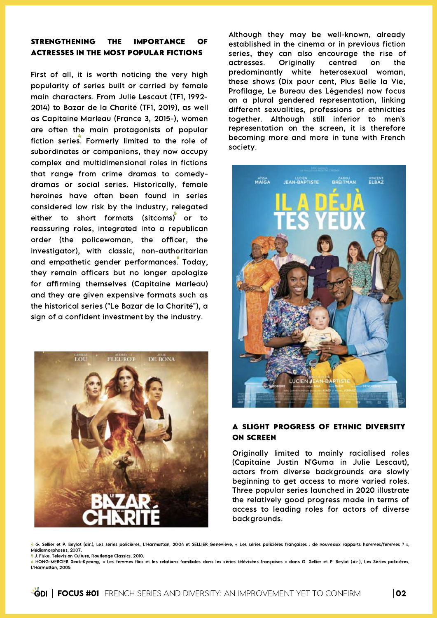## STRENGTHENING THE IMPORTANCE OF ACTRESSES IN THE MOST POPULAR FICTIONS

First of all, it is worth noticing the very high popularity of series built or carried by female main characters. From Julie Lescaut (TF1, 1992- 2014) to Bazar de la Charité (TF1, 2019), as well as Capitaine Marleau (France 3, 2015-), women are often the main protagonists of popular fiction series. Formerly limited to the role of subordinates or companions, they now occupy complex and multidimensional roles in fictions that range from crime dramas to comedydramas or social series. Historically, female heroines have often been found in series considered low risk by the industry, relegated either to short formats (sitcoms) or to reassuring roles, integrated into a republican order (the policewoman, the officer, the investigator), with classic, non-authoritarian and empathetic gender performances. Today, they remain officers but no longer apologize for affirming themselves (Capitaine Marleau) and they are given expensive formats such as the historical series ("Le Bazar de la Charité"), a sign of a confident investment by the industry.



Although they may be well-known, already established in the cinema or in previous fiction series, they can also encourage the rise of actresses. Originally centred on the predominantly white heterosexual woman, these shows (Dix pour cent, Plus Belle la Vie, Profilage, Le Bureau des Légendes) now focus on a plural gendered representation, linking different sexualities, professions or ethnicities together. Although still inferior to men's representation on the screen, it is therefore becoming more and more in tune with French society.



## A SLIGHT PROGRESS OF ETHNIC DIVERSITY ON SCREEN

Originally limited to mainly racialised roles (Capitaine Justin N'Guma in Julie Lescaut), actors from diverse backgrounds are slowly beginning to get access to more varied roles. Three popular series launched in 2020 illustrate the relatively good progress made in terms of access to leading roles for actors of diverse backgrounds.

4 G. Sellier et P. Beylot (dir.), Les séries policières, L'Harmattan, 2004 et SELLIER Geneviève, « Les séries policières françaises : de nouveaux rapports hommes/femmes ? », Médiamorphoses, 2007. 5 J. Fiske, Television Culture, Routledge Classics, 2010.

6 HONG-MERCIER Seok-Kyeong, « Les femmes flics et les relations familiales dans les séries télévisées françaises » dans G. Sellier et P. Beylot (dir.), Les Séries policières, L'Harmattan, 2005.